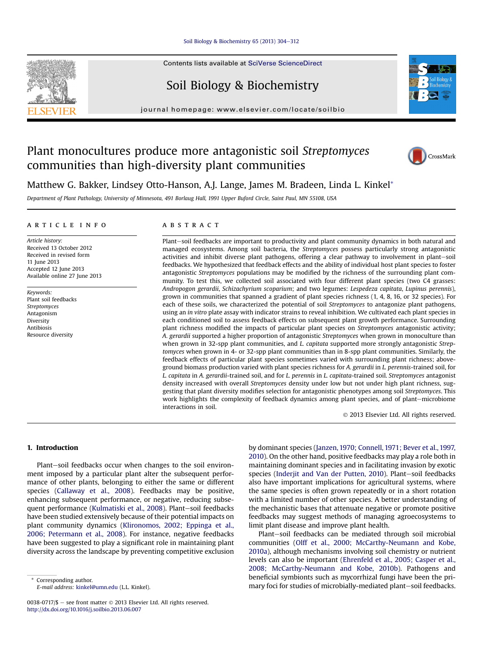#### [Soil Biology & Biochemistry 65 \(2013\) 304](http://dx.doi.org/10.1016/j.soilbio.2013.06.007)-[312](http://dx.doi.org/10.1016/j.soilbio.2013.06.007)

Contents lists available at SciVerse ScienceDirect

# Soil Biology & Biochemistry

journal homepage: [www.elsevier.com/locate/soilbio](http://www.elsevier.com/locate/soilbio)

# Plant monocultures produce more antagonistic soil Streptomyces communities than high-diversity plant communities



Matthew G. Bakker, Lindsey Otto-Hanson, A.J. Lange, James M. Bradeen, Linda L. Kinkel\*

## article info

Article history: Received 13 October 2012 Received in revised form 11 June 2013 Accepted 12 June 2013 Available online 27 June 2013

Keywords: Plant soil feedbacks Streptomyces Antagonism **Diversity** Antibiosis Resource diversity

# **ABSTRACT**

Plant-soil feedbacks are important to productivity and plant community dynamics in both natural and managed ecosystems. Among soil bacteria, the Streptomyces possess particularly strong antagonistic activities and inhibit diverse plant pathogens, offering a clear pathway to involvement in plant-soil feedbacks. We hypothesized that feedback effects and the ability of individual host plant species to foster antagonistic Streptomyces populations may be modified by the richness of the surrounding plant community. To test this, we collected soil associated with four different plant species (two C4 grasses: Andropogon gerardii, Schizachyrium scoparium; and two legumes: Lespedeza capitata, Lupinus perennis), grown in communities that spanned a gradient of plant species richness (1, 4, 8, 16, or 32 species). For each of these soils, we characterized the potential of soil Streptomyces to antagonize plant pathogens, using an in vitro plate assay with indicator strains to reveal inhibition. We cultivated each plant species in each conditioned soil to assess feedback effects on subsequent plant growth performance. Surrounding plant richness modified the impacts of particular plant species on Streptomyces antagonistic activity; A. gerardii supported a higher proportion of antagonistic Streptomyces when grown in monoculture than when grown in 32-spp plant communities, and L. capitata supported more strongly antagonistic Streptomyces when grown in 4- or 32-spp plant communities than in 8-spp plant communities. Similarly, the feedback effects of particular plant species sometimes varied with surrounding plant richness; aboveground biomass production varied with plant species richness for A. gerardii in L. perennis-trained soil, for L. capitata in A. gerardii-trained soil, and for L. perennis in L. capitata-trained soil. Streptomyces antagonist density increased with overall Streptomyces density under low but not under high plant richness, suggesting that plant diversity modifies selection for antagonistic phenotypes among soil Streptomyces. This work highlights the complexity of feedback dynamics among plant species, and of plant-microbiome interactions in soil.

2013 Elsevier Ltd. All rights reserved.

## 1. Introduction

Plant-soil feedbacks occur when changes to the soil environment imposed by a particular plant alter the subsequent performance of other plants, belonging to either the same or different species [\(Callaway et al., 2008](#page-7-0)). Feedbacks may be positive, enhancing subsequent performance, or negative, reducing subse-quent performance ([Kulmatiski et al., 2008](#page-7-0)). Plant-soil feedbacks have been studied extensively because of their potential impacts on plant community dynamics [\(Klironomos, 2002; Eppinga et al.,](#page-7-0) [2006; Petermann et al., 2008\)](#page-7-0). For instance, negative feedbacks have been suggested to play a significant role in maintaining plant diversity across the landscape by preventing competitive exclusion by dominant species ([Janzen, 1970; Connell, 1971; Bever et al., 1997,](#page-7-0) [2010\)](#page-7-0). On the other hand, positive feedbacks may play a role both in maintaining dominant species and in facilitating invasion by exotic species [\(Inderjit and Van der Putten, 2010\)](#page-7-0). Plant-soil feedbacks also have important implications for agricultural systems, where the same species is often grown repeatedly or in a short rotation with a limited number of other species. A better understanding of the mechanistic bases that attenuate negative or promote positive feedbacks may suggest methods of managing agroecosystems to limit plant disease and improve plant health.

Plant-soil feedbacks can be mediated through soil microbial communities ([Olff et al., 2000; McCarthy-Neumann and Kobe,](#page-8-0) [2010a](#page-8-0)), although mechanisms involving soil chemistry or nutrient levels can also be important [\(Ehrenfeld et al., 2005; Casper et al.,](#page-7-0) [2008; McCarthy-Neumann and Kobe, 2010b\)](#page-7-0). Pathogens and beneficial symbionts such as mycorrhizal fungi have been the pri-Expressionding author.<br>
E-mail address: kinkel@umn edu (LL Kinkel) **E-mail address: kinkel@umn edu (LL Kinkel)** Corresponding author. F-mail address: kinkel@umn edu (LL Kinkel) **Corresponding author.** 







<sup>0038-0717/\$ -</sup> see front matter  $\odot$  2013 Elsevier Ltd. All rights reserved. <http://dx.doi.org/10.1016/j.soilbio.2013.06.007>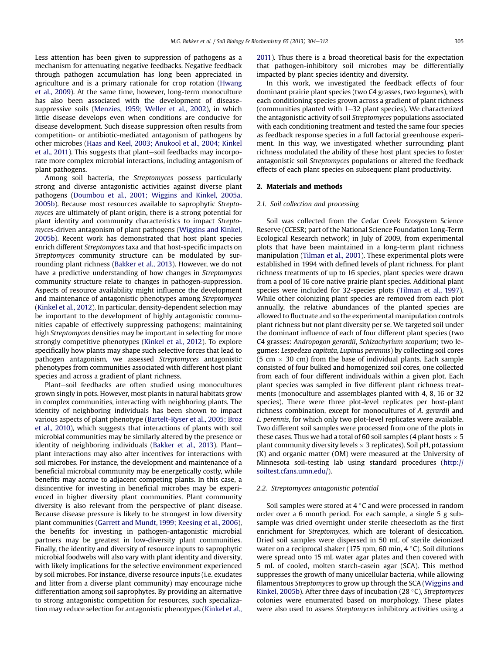Less attention has been given to suppression of pathogens as a mechanism for attenuating negative feedbacks. Negative feedback through pathogen accumulation has long been appreciated in agriculture and is a primary rationale for crop rotation ([Hwang](#page-7-0) [et al., 2009\)](#page-7-0). At the same time, however, long-term monoculture has also been associated with the development of diseasesuppressive soils [\(Menzies, 1959; Weller et al., 2002](#page-8-0)), in which little disease develops even when conditions are conducive for disease development. Such disease suppression often results from competition- or antibiotic-mediated antagonism of pathogens by other microbes [\(Haas and Keel, 2003; Anukool et al., 2004; Kinkel](#page-7-0) [et al., 2011](#page-7-0)). This suggests that plant-soil feedbacks may incorporate more complex microbial interactions, including antagonism of plant pathogens.

Among soil bacteria, the Streptomyces possess particularly strong and diverse antagonistic activities against diverse plant pathogens [\(Doumbou et al., 2001; Wiggins and Kinkel, 2005a,](#page-7-0) [2005b\)](#page-7-0). Because most resources available to saprophytic Streptomyces are ultimately of plant origin, there is a strong potential for plant identity and community characteristics to impact Streptomyces-driven antagonism of plant pathogens ([Wiggins and Kinkel,](#page-8-0) [2005b\)](#page-8-0). Recent work has demonstrated that host plant species enrich different Streptomyces taxa and that host-specific impacts on Streptomyces community structure can be modulated by surrounding plant richness [\(Bakker et al., 2013\)](#page-7-0). However, we do not have a predictive understanding of how changes in Streptomyces community structure relate to changes in pathogen-suppression. Aspects of resource availability might influence the development and maintenance of antagonistic phenotypes among Streptomyces ([Kinkel et al., 2012\)](#page-7-0). In particular, density-dependent selection may be important to the development of highly antagonistic communities capable of effectively suppressing pathogens; maintaining high Streptomyces densities may be important in selecting for more strongly competitive phenotypes [\(Kinkel et al., 2012](#page-7-0)). To explore specifically how plants may shape such selective forces that lead to pathogen antagonism, we assessed Streptomyces antagonistic phenotypes from communities associated with different host plant species and across a gradient of plant richness.

Plant-soil feedbacks are often studied using monocultures grown singly in pots. However, most plants in natural habitats grow in complex communities, interacting with neighboring plants. The identity of neighboring individuals has been shown to impact various aspects of plant phenotype ([Bartelt-Ryser et al., 2005; Broz](#page-7-0) [et al., 2010](#page-7-0)), which suggests that interactions of plants with soil microbial communities may be similarly altered by the presence or identity of neighboring individuals ([Bakker et al., 2013](#page-7-0)). Plantplant interactions may also alter incentives for interactions with soil microbes. For instance, the development and maintenance of a beneficial microbial community may be energetically costly, while benefits may accrue to adjacent competing plants. In this case, a disincentive for investing in beneficial microbes may be experienced in higher diversity plant communities. Plant community diversity is also relevant from the perspective of plant disease. Because disease pressure is likely to be strongest in low diversity plant communities ([Garrett and Mundt, 1999; Keesing et al., 2006\)](#page-7-0), the benefits for investing in pathogen-antagonistic microbial partners may be greatest in low-diversity plant communities. Finally, the identity and diversity of resource inputs to saprophytic microbial foodwebs will also vary with plant identity and diversity, with likely implications for the selective environment experienced by soil microbes. For instance, diverse resource inputs (i.e. exudates and litter from a diverse plant community) may encourage niche differentiation among soil saprophytes. By providing an alternative to strong antagonistic competition for resources, such specialization may reduce selection for antagonistic phenotypes [\(Kinkel et al.,](#page-7-0) [2011](#page-7-0)). Thus there is a broad theoretical basis for the expectation that pathogen-inhibitory soil microbes may be differentially impacted by plant species identity and diversity.

In this work, we investigated the feedback effects of four dominant prairie plant species (two C4 grasses, two legumes), with each conditioning species grown across a gradient of plant richness (communities planted with  $1-32$  plant species). We characterized the antagonistic activity of soil Streptomyces populations associated with each conditioning treatment and tested the same four species as feedback response species in a full factorial greenhouse experiment. In this way, we investigated whether surrounding plant richness modulated the ability of these host plant species to foster antagonistic soil Streptomyces populations or altered the feedback effects of each plant species on subsequent plant productivity.

#### 2. Materials and methods

#### 2.1. Soil collection and processing

Soil was collected from the Cedar Creek Ecosystem Science Reserve (CCESR; part of the National Science Foundation Long-Term Ecological Research network) in July of 2009, from experimental plots that have been maintained in a long-term plant richness manipulation ([Tilman et al., 2001](#page-8-0)). These experimental plots were established in 1994 with defined levels of plant richness. For plant richness treatments of up to 16 species, plant species were drawn from a pool of 16 core native prairie plant species. Additional plant species were included for 32-species plots ([Tilman et al., 1997\)](#page-8-0). While other colonizing plant species are removed from each plot annually, the relative abundances of the planted species are allowed to fluctuate and so the experimental manipulation controls plant richness but not plant diversity per se. We targeted soil under the dominant influence of each of four different plant species (two C4 grasses: Andropogon gerardii, Schizachyrium scoparium; two legumes: Lespedeza capitata, Lupinus perennis) by collecting soil cores (5 cm  $\times$  30 cm) from the base of individual plants. Each sample consisted of four bulked and homogenized soil cores, one collected from each of four different individuals within a given plot. Each plant species was sampled in five different plant richness treatments (monoculture and assemblages planted with 4, 8, 16 or 32 species). There were three plot-level replicates per host-plant richness combination, except for monocultures of A. gerardii and L. perennis, for which only two plot-level replicates were available. Two different soil samples were processed from one of the plots in these cases. Thus we had a total of 60 soil samples (4 plant hosts  $\times$  5 plant community diversity levels  $\times$  3 replicates). Soil pH, potassium (K) and organic matter (OM) were measured at the University of Minnesota soil-testing lab using standard procedures [\(http://](http://soiltest.cfans.umn.edu/) [soiltest.cfans.umn.edu/](http://soiltest.cfans.umn.edu/)).

## 2.2. Streptomyces antagonistic potential

Soil samples were stored at  $4^{\circ}$ C and were processed in random order over a 6 month period. For each sample, a single 5 g subsample was dried overnight under sterile cheesecloth as the first enrichment for Streptomyces, which are tolerant of desiccation. Dried soil samples were dispersed in 50 mL of sterile deionized water on a reciprocal shaker (175 rpm, 60 min,  $4^{\circ}$ C). Soil dilutions were spread onto 15 mL water agar plates and then covered with 5 mL of cooled, molten starch-casein agar (SCA). This method suppresses the growth of many unicellular bacteria, while allowing filamentous Streptomyces to grow up through the SCA ([Wiggins and](#page-8-0) [Kinkel, 2005b\)](#page-8-0). After three days of incubation (28 $\degree$ C), Streptomyces colonies were enumerated based on morphology. These plates were also used to assess Streptomyces inhibitory activities using a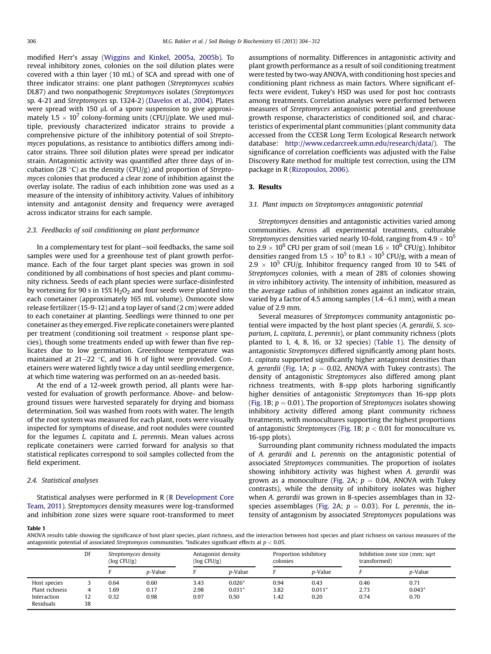modified Herr's assay [\(Wiggins and Kinkel, 2005a, 2005b](#page-8-0)). To reveal inhibitory zones, colonies on the soil dilution plates were covered with a thin layer (10 mL) of SCA and spread with one of three indicator strains: one plant pathogen (Streptomyces scabies DL87) and two nonpathogenic Streptomyces isolates (Streptomyces sp. 4-21 and Streptomyces sp. 1324-2) [\(Davelos et al., 2004](#page-7-0)). Plates were spread with 150  $\mu$ L of a spore suspension to give approximately  $1.5 \times 10^7$  colony-forming units (CFU)/plate. We used multiple, previously characterized indicator strains to provide a comprehensive picture of the inhibitory potential of soil Streptomyces populations, as resistance to antibiotics differs among indicator strains. Three soil dilution plates were spread per indicator strain. Antagonistic activity was quantified after three days of incubation (28 $\degree$ C) as the density (CFU/g) and proportion of Streptomyces colonies that produced a clear zone of inhibition against the overlay isolate. The radius of each inhibition zone was used as a measure of the intensity of inhibitory activity. Values of inhibitory intensity and antagonist density and frequency were averaged across indicator strains for each sample.

#### 2.3. Feedbacks of soil conditioning on plant performance

In a complementary test for plant-soil feedbacks, the same soil samples were used for a greenhouse test of plant growth performance. Each of the four target plant species was grown in soil conditioned by all combinations of host species and plant community richness. Seeds of each plant species were surface-disinfested by vortexing for 90 s in  $15\%$  H<sub>2</sub>O<sub>2</sub> and four seeds were planted into each conetainer (approximately 165 mL volume). Osmocote slow release fertilizer (15-9-12) and a top layer of sand (2 cm) were added to each conetainer at planting. Seedlings were thinned to one per conetainer as they emerged. Five replicate conetainers were planted per treatment (conditioning soil treatment  $\times$  response plant species), though some treatments ended up with fewer than five replicates due to low germination. Greenhouse temperature was maintained at  $21-22$  °C, and 16 h of light were provided. Conetainers were watered lightly twice a day until seedling emergence, at which time watering was performed on an as-needed basis.

At the end of a 12-week growth period, all plants were harvested for evaluation of growth performance. Above- and belowground tissues were harvested separately for drying and biomass determination. Soil was washed from roots with water. The length of the root system was measured for each plant, roots were visually inspected for symptoms of disease, and root nodules were counted for the legumes L. capitata and L. perennis. Mean values across replicate conetainers were carried forward for analysis so that statistical replicates correspond to soil samples collected from the field experiment.

#### 2.4. Statistical analyses

Statistical analyses were performed in R ([R Development Core](#page-8-0) [Team, 2011](#page-8-0)). Streptomyces density measures were log-transformed and inhibition zone sizes were square root-transformed to meet assumptions of normality. Differences in antagonistic activity and plant growth performance as a result of soil conditioning treatment were tested by two-way ANOVA, with conditioning host species and conditioning plant richness as main factors. Where significant effects were evident, Tukey's HSD was used for post hoc contrasts among treatments. Correlation analyses were performed between measures of Streptomyces antagonistic potential and greenhouse growth response, characteristics of conditioned soil, and characteristics of experimental plant communities (plant community data accessed from the CCESR Long Term Ecological Research network database: <http://www.cedarcreek.umn.edu/research/data/>). The significance of correlation coefficients was adjusted with the False Discovery Rate method for multiple test correction, using the LTM package in R [\(Rizopoulos, 2006\)](#page-8-0).

## 3. Results

### 3.1. Plant impacts on Streptomyces antagonistic potential

Streptomyces densities and antagonistic activities varied among communities. Across all experimental treatments, culturable Streptomyces densities varied nearly 10-fold, ranging from 4.9  $\times$  10<sup>5</sup> to 2.9  $\times$  10<sup>6</sup> CFU per gram of soil (mean 1.6  $\times$  10<sup>6</sup> CFU/g). Inhibitor densities ranged from  $1.5 \times 10^5$  to  $8.1 \times 10^5$  CFU/g, with a mean of 2.9  $\times$  10<sup>5</sup> CFU/g. Inhibitor frequency ranged from 10 to 54% of Streptomyces colonies, with a mean of 28% of colonies showing in vitro inhibitory activity. The intensity of inhibition, measured as the average radius of inhibition zones against an indicator strain, varied by a factor of 4.5 among samples  $(1.4-6.1 \text{ mm})$ , with a mean value of 2.9 mm.

Several measures of Streptomyces community antagonistic potential were impacted by the host plant species (A. gerardii, S. scoparium, L. capitata, L. perennis), or plant community richness (plots planted to 1, 4, 8, 16, or 32 species) (Table 1). The density of antagonistic Streptomyces differed significantly among plant hosts. L. capitata supported significantly higher antagonist densities than A. gerardii ([Fig. 1](#page-3-0)A;  $p = 0.02$ , ANOVA with Tukey contrasts). The density of antagonistic Streptomyces also differed among plant richness treatments, with 8-spp plots harboring significantly higher densities of antagonistic Streptomyces than 16-spp plots ([Fig. 1B](#page-3-0);  $p = 0.01$ ). The proportion of Streptomyces isolates showing inhibitory activity differed among plant community richness treatments, with monocultures supporting the highest proportions of antagonistic Streptomyces ([Fig. 1](#page-3-0)B;  $p < 0.01$  for monoculture vs. 16-spp plots).

Surrounding plant community richness modulated the impacts of A. gerardii and L. perennis on the antagonistic potential of associated Streptomyces communities. The proportion of isolates showing inhibitory activity was highest when A. gerardii was grown as a monoculture ([Fig. 2A](#page-3-0);  $p = 0.04$ , ANOVA with Tukey contrasts), while the density of inhibitory isolates was higher when A. gerardii was grown in 8-species assemblages than in 32- species assemblages ([Fig. 2](#page-3-0)A;  $p = 0.03$ ). For L. perennis, the intensity of antagonism by associated Streptomyces populations was

#### Table 1

ANOVA results table showing the significance of host plant species, plant richness, and the interaction between host species and plant richness on various measures of the antagonistic potential of associated Streptomyces communities. \*Indicates significant effects at  $p < 0.05$ .

|                | Df | Streptomyces density<br>$(\log CFU/g)$ |                 | Antagonist density<br>$(\log CFU/g)$ |                 | Proportion inhibitory<br>colonies |                 | Inhibition zone size (mm; sqrt<br>transformed) |                 |
|----------------|----|----------------------------------------|-----------------|--------------------------------------|-----------------|-----------------------------------|-----------------|------------------------------------------------|-----------------|
|                |    |                                        | <i>p</i> -Value |                                      | <i>p</i> -Value |                                   | <i>p</i> -Value |                                                | <i>p</i> -Value |
| Host species   |    | 0.64                                   | 0.60            | 3.43                                 | $0.026*$        | 0.94                              | 0.43            | 0.46                                           | 0.71            |
| Plant richness |    | 1.69                                   | 0.17            | 2.98                                 | $0.031*$        | 3.82                              | $0.011*$        | 2.73                                           | $0.043*$        |
| Interaction    | 12 | 0.32                                   | 0.98            | 0.97                                 | 0.50            | 1.42                              | 0.20            | 0.74                                           | 0.70            |
| Residuals      | 38 |                                        |                 |                                      |                 |                                   |                 |                                                |                 |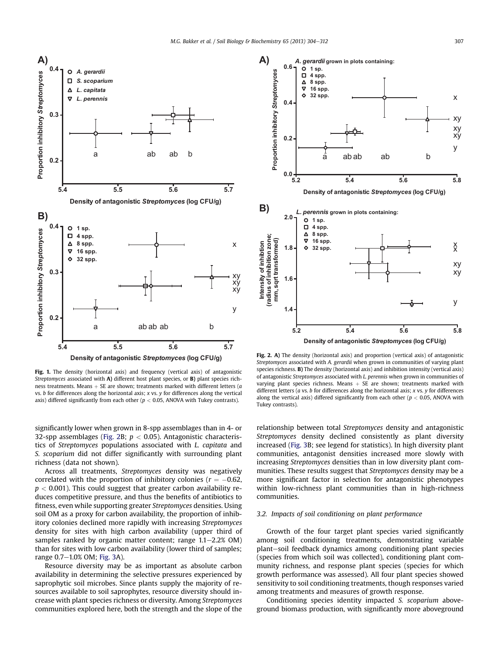<span id="page-3-0"></span>

Fig. 1. The density (horizontal axis) and frequency (vertical axis) of antagonistic Streptomyces associated with A) different host plant species, or B) plant species richness treatments. Means  $+$  SE are shown; treatments marked with different letters (a vs.  $b$  for differences along the horizontal axis;  $x$  vs.  $y$  for differences along the vertical axis) differed significantly from each other ( $p < 0.05$ , ANOVA with Tukey contrasts).

significantly lower when grown in 8-spp assemblages than in 4- or 32-spp assemblages (Fig. 2B;  $p < 0.05$ ). Antagonistic characteristics of Streptomyces populations associated with L. capitata and S. scoparium did not differ significantly with surrounding plant richness (data not shown).

Across all treatments, Streptomyces density was negatively correlated with the proportion of inhibitory colonies ( $r = -0.62$ ,  $p < 0.001$ ). This could suggest that greater carbon availability reduces competitive pressure, and thus the benefits of antibiotics to fitness, even while supporting greater Streptomyces densities. Using soil OM as a proxy for carbon availability, the proportion of inhibitory colonies declined more rapidly with increasing Streptomyces density for sites with high carbon availability (upper third of samples ranked by organic matter content; range  $1.1-2.2\%$  OM) than for sites with low carbon availability (lower third of samples; range  $0.7-1.0\%$  OM; [Fig. 3A](#page-4-0)).

Resource diversity may be as important as absolute carbon availability in determining the selective pressures experienced by saprophytic soil microbes. Since plants supply the majority of resources available to soil saprophytes, resource diversity should increase with plant species richness or diversity. Among Streptomyces communities explored here, both the strength and the slope of the



Fig. 2. A) The density (horizontal axis) and proportion (vertical axis) of antagonistic Streptomyces associated with A. gerardii when grown in communities of varying plant species richness. B) The density (horizontal axis) and inhibition intensity (vertical axis) of antagonistic Streptomyces associated with L. perennis when grown in communities of varying plant species richness. Means  $+$  SE are shown; treatments marked with different letters ( $a$  vs.  $b$  for differences along the horizontal axis;  $x$  vs.  $y$  for differences along the vertical axis) differed significantly from each other ( $p < 0.05$ , ANOVA with Tukey contrasts).

relationship between total Streptomyces density and antagonistic Streptomyces density declined consistently as plant diversity increased ([Fig. 3B](#page-4-0); see legend for statistics). In high diversity plant communities, antagonist densities increased more slowly with increasing Streptomyces densities than in low diversity plant communities. These results suggest that Streptomyces density may be a more significant factor in selection for antagonistic phenotypes within low-richness plant communities than in high-richness communities.

# 3.2. Impacts of soil conditioning on plant performance

Growth of the four target plant species varied significantly among soil conditioning treatments, demonstrating variable plant-soil feedback dynamics among conditioning plant species (species from which soil was collected), conditioning plant community richness, and response plant species (species for which growth performance was assessed). All four plant species showed sensitivity to soil conditioning treatments, though responses varied among treatments and measures of growth response.

Conditioning species identity impacted S. scoparium aboveground biomass production, with significantly more aboveground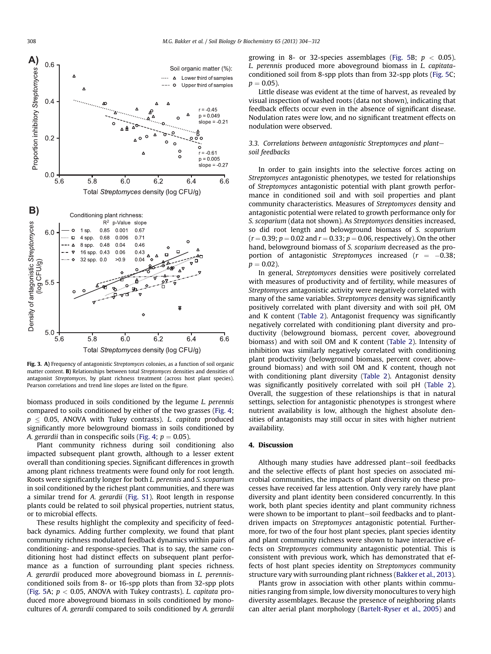<span id="page-4-0"></span>

Fig. 3. A) Frequency of antagonistic Streptomyces colonies, as a function of soil organic matter content. B) Relationships between total Streptomyces densities and densities of antagonist Streptomyces, by plant richness treatment (across host plant species). Pearson correlations and trend line slopes are listed on the figure.

biomass produced in soils conditioned by the legume L. perennis compared to soils conditioned by either of the two grasses ([Fig. 4](#page-5-0);  $p \leq 0.05$ , ANOVA with Tukey contrasts). L. capitata produced significantly more belowground biomass in soils conditioned by A. gerardii than in conspecific soils ([Fig. 4](#page-5-0);  $p = 0.05$ ).

Plant community richness during soil conditioning also impacted subsequent plant growth, although to a lesser extent overall than conditioning species. Significant differences in growth among plant richness treatments were found only for root length. Roots were significantly longer for both L. perennis and S. scoparium in soil conditioned by the richest plant communities, and there was a similar trend for A. gerardii (Fig. S1). Root length in response plants could be related to soil physical properties, nutrient status, or to microbial effects.

These results highlight the complexity and specificity of feedback dynamics. Adding further complexity, we found that plant community richness modulated feedback dynamics within pairs of conditioning- and response-species. That is to say, the same conditioning host had distinct effects on subsequent plant performance as a function of surrounding plant species richness. A. gerardii produced more aboveground biomass in L. perennisconditioned soils from 8- or 16-spp plots than from 32-spp plots ([Fig. 5A](#page-6-0);  $p < 0.05$ , ANOVA with Tukey contrasts). *L. capitata* produced more aboveground biomass in soils conditioned by monocultures of A. gerardii compared to soils conditioned by A. gerardii

growing in 8- or 32-species assemblages ([Fig. 5B](#page-6-0);  $p < 0.05$ ). L. perennis produced more aboveground biomass in L. capitataconditioned soil from 8-spp plots than from 32-spp plots ([Fig. 5](#page-6-0)C;  $p = 0.05$ ).

Little disease was evident at the time of harvest, as revealed by visual inspection of washed roots (data not shown), indicating that feedback effects occur even in the absence of significant disease. Nodulation rates were low, and no significant treatment effects on nodulation were observed.

## 3.3. Correlations between antagonistic Streptomyces and plantsoil feedbacks

In order to gain insights into the selective forces acting on Streptomyces antagonistic phenotypes, we tested for relationships of Streptomyces antagonistic potential with plant growth performance in conditioned soil and with soil properties and plant community characteristics. Measures of Streptomyces density and antagonistic potential were related to growth performance only for S. scoparium (data not shown). As Streptomyces densities increased, so did root length and belowground biomass of S. scoparium  $(r = 0.39; p = 0.02$  and  $r = 0.33; p = 0.06$ , respectively). On the other hand, belowground biomass of S. scoparium decreased as the proportion of antagonistic Streptomyces increased ( $r = -0.38$ ;  $p = 0.02$ ).

In general, Streptomyces densities were positively correlated with measures of productivity and of fertility, while measures of Streptomyces antagonistic activity were negatively correlated with many of the same variables. Streptomyces density was significantly positively correlated with plant diversity and with soil pH, OM and K content ([Table 2](#page-7-0)). Antagonist frequency was significantly negatively correlated with conditioning plant diversity and productivity (belowground biomass, percent cover, aboveground biomass) and with soil OM and K content [\(Table 2](#page-7-0)). Intensity of inhibition was similarly negatively correlated with conditioning plant productivity (belowground biomass, percent cover, aboveground biomass) and with soil OM and K content, though not with conditioning plant diversity ([Table 2](#page-7-0)). Antagonist density was significantly positively correlated with soil pH [\(Table 2\)](#page-7-0). Overall, the suggestion of these relationships is that in natural settings, selection for antagonistic phenotypes is strongest where nutrient availability is low, although the highest absolute densities of antagonists may still occur in sites with higher nutrient availability.

## 4. Discussion

Although many studies have addressed plant-soil feedbacks and the selective effects of plant host species on associated microbial communities, the impacts of plant diversity on these processes have received far less attention. Only very rarely have plant diversity and plant identity been considered concurrently. In this work, both plant species identity and plant community richness were shown to be important to plant-soil feedbacks and to plantdriven impacts on Streptomyces antagonistic potential. Furthermore, for two of the four host plant species, plant species identity and plant community richness were shown to have interactive effects on Streptomyces community antagonistic potential. This is consistent with previous work, which has demonstrated that effects of host plant species identity on Streptomyces community structure vary with surrounding plant richness ([Bakker et al., 2013\)](#page-7-0).

Plants grow in association with other plants within communities ranging from simple, low diversity monocultures to very high diversity assemblages. Because the presence of neighboring plants can alter aerial plant morphology [\(Bartelt-Ryser et al., 2005\)](#page-7-0) and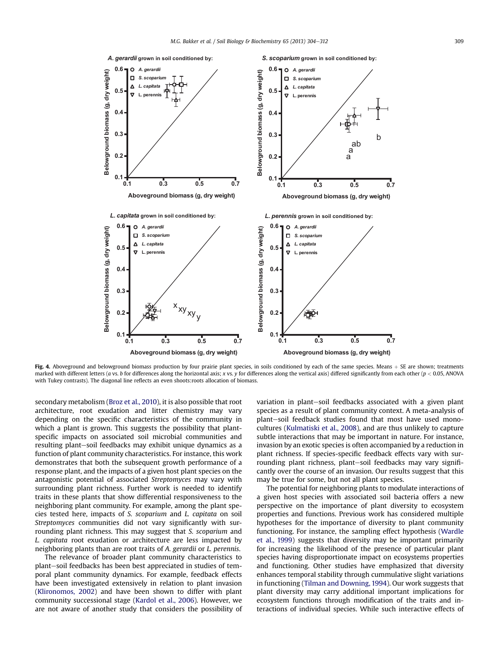<span id="page-5-0"></span>

Fig. 4. Aboveground and belowground biomass production by four prairie plant species, in soils conditioned by each of the same species. Means  $+$  SE are shown; treatments marked with different letters (a vs. b for differences along the horizontal axis; x vs. y for differences along the vertical axis) differed significantly from each other ( $p < 0.05$ , ANOVA with Tukey contrasts). The diagonal line reflects an even shoots:roots allocation of biomass.

secondary metabolism [\(Broz et al., 2010](#page-7-0)), it is also possible that root architecture, root exudation and litter chemistry may vary depending on the specific characteristics of the community in which a plant is grown. This suggests the possibility that plantspecific impacts on associated soil microbial communities and resulting plant-soil feedbacks may exhibit unique dynamics as a function of plant community characteristics. For instance, this work demonstrates that both the subsequent growth performance of a response plant, and the impacts of a given host plant species on the antagonistic potential of associated Streptomyces may vary with surrounding plant richness. Further work is needed to identify traits in these plants that show differential responsiveness to the neighboring plant community. For example, among the plant species tested here, impacts of S. scoparium and L. capitata on soil Streptomyces communities did not vary significantly with surrounding plant richness. This may suggest that S. scoparium and L. capitata root exudation or architecture are less impacted by neighboring plants than are root traits of A. gerardii or L. perennis.

The relevance of broader plant community characteristics to plant-soil feedbacks has been best appreciated in studies of temporal plant community dynamics. For example, feedback effects have been investigated extensively in relation to plant invasion ([Klironomos, 2002\)](#page-7-0) and have been shown to differ with plant community successional stage [\(Kardol et al., 2006\)](#page-7-0). However, we are not aware of another study that considers the possibility of variation in plant-soil feedbacks associated with a given plant species as a result of plant community context. A meta-analysis of plant-soil feedback studies found that most have used monocultures ([Kulmatiski et al., 2008\)](#page-7-0), and are thus unlikely to capture subtle interactions that may be important in nature. For instance, invasion by an exotic species is often accompanied by a reduction in plant richness. If species-specific feedback effects vary with surrounding plant richness, plant-soil feedbacks may vary significantly over the course of an invasion. Our results suggest that this may be true for some, but not all plant species.

The potential for neighboring plants to modulate interactions of a given host species with associated soil bacteria offers a new perspective on the importance of plant diversity to ecosystem properties and functions. Previous work has considered multiple hypotheses for the importance of diversity to plant community functioning. For instance, the sampling effect hypothesis [\(Wardle](#page-8-0) [et al., 1999\)](#page-8-0) suggests that diversity may be important primarily for increasing the likelihood of the presence of particular plant species having disproportionate impact on ecosystems properties and functioning. Other studies have emphasized that diversity enhances temporal stability through cummulative slight variations in functioning [\(Tilman and Downing, 1994](#page-8-0)). Our work suggests that plant diversity may carry additional important implications for ecosystem functions through modification of the traits and interactions of individual species. While such interactive effects of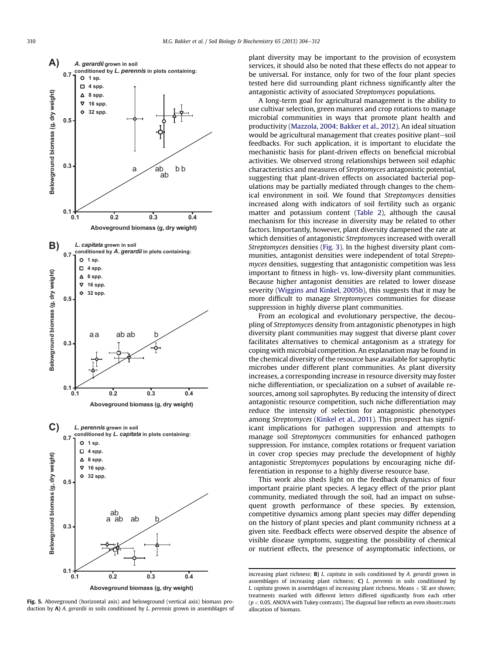<span id="page-6-0"></span>

**Aboveground biomass (g, dry weight)**

Fig. 5. Aboveground (horizontal axis) and belowground (vertical axis) biomass production by  $A$ ) A. gerardii in soils conditioned by L. perennis grown in assemblages of

plant diversity may be important to the provision of ecosystem services, it should also be noted that these effects do not appear to be universal. For instance, only for two of the four plant species tested here did surrounding plant richness significantly alter the antagonistic activity of associated Streptomyces populations.

A long-term goal for agricultural management is the ability to use cultivar selection, green manures and crop rotations to manage microbial communities in ways that promote plant health and productivity [\(Mazzola, 2004; Bakker et al., 2012](#page-8-0)). An ideal situation would be agricultural management that creates positive plant-soil feedbacks. For such application, it is important to elucidate the mechanistic basis for plant-driven effects on beneficial microbial activities. We observed strong relationships between soil edaphic characteristics and measures of Streptomyces antagonistic potential, suggesting that plant-driven effects on associated bacterial populations may be partially mediated through changes to the chemical environment in soil. We found that Streptomyces densities increased along with indicators of soil fertility such as organic matter and potassium content [\(Table 2\)](#page-7-0), although the causal mechanism for this increase in diversity may be related to other factors. Importantly, however, plant diversity dampened the rate at which densities of antagonistic Streptomyces increased with overall Streptomyces densities ([Fig. 3](#page-4-0)). In the highest diversity plant communities, antagonist densities were independent of total Streptomyces densities, suggesting that antagonistic competition was less important to fitness in high- vs. low-diversity plant communities. Because higher antagonist densities are related to lower disease severity [\(Wiggins and Kinkel, 2005b](#page-8-0)), this suggests that it may be more difficult to manage Streptomyces communities for disease suppression in highly diverse plant communities.

From an ecological and evolutionary perspective, the decoupling of Streptomyces density from antagonistic phenotypes in high diversity plant communities may suggest that diverse plant cover facilitates alternatives to chemical antagonism as a strategy for coping with microbial competition. An explanation may be found in the chemical diversity of the resource base available for saprophytic microbes under different plant communities. As plant diversity increases, a corresponding increase in resource diversity may foster niche differentiation, or specialization on a subset of available resources, among soil saprophytes. By reducing the intensity of direct antagonistic resource competition, such niche differentiation may reduce the intensity of selection for antagonistic phenotypes among Streptomyces [\(Kinkel et al., 2011](#page-7-0)). This prospect has significant implications for pathogen suppression and attempts to manage soil Streptomyces communities for enhanced pathogen suppression. For instance, complex rotations or frequent variation in cover crop species may preclude the development of highly antagonistic Streptomyces populations by encouraging niche differentiation in response to a highly diverse resource base.

This work also sheds light on the feedback dynamics of four important prairie plant species. A legacy effect of the prior plant community, mediated through the soil, had an impact on subsequent growth performance of these species. By extension, competitive dynamics among plant species may differ depending on the history of plant species and plant community richness at a given site. Feedback effects were observed despite the absence of visible disease symptoms, suggesting the possibility of chemical or nutrient effects, the presence of asymptomatic infections, or

increasing plant richness; **B**) *L. capitata* in soils conditioned by *A. gerardii grown in* assemblages of increasing plant richness; C) L. perennis in soils conditioned by L. capitata grown in assemblages of increasing plant richness. Means  $+$  SE are shown; treatments marked with different letters differed significantly from each other ( $p < 0.05$ , ANOVA with Tukey contrasts). The diagonal line reflects an even shoots:roots allocation of biomass.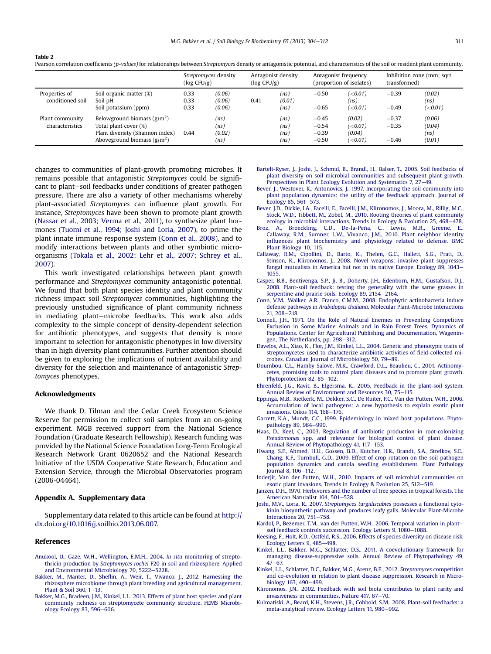|                                    |                                                                                                                                        | Streptomyces density<br>$(\log CFU/g)$ |                                | Antagonist density<br>$(\log CFU/g)$ |                              | Antagonist frequency<br>(proportion of isolates) |                                                  | Inhibition zone (mm; sqrt)<br>transformed) |                                    |
|------------------------------------|----------------------------------------------------------------------------------------------------------------------------------------|----------------------------------------|--------------------------------|--------------------------------------|------------------------------|--------------------------------------------------|--------------------------------------------------|--------------------------------------------|------------------------------------|
| Properties of<br>conditioned soil  | Soil organic matter (%)<br>Soil pH<br>Soil potassium (ppm)                                                                             |                                        | (0.06)<br>(0.06)<br>(0.06)     | 0.41                                 | (ns)<br>(0.01)<br>(ns)       | $-0.50$<br>$-0.65$                               | (<0.01)<br>(ns)<br>( $<$ 0.01 )                  | $-0.39$<br>$-0.49$                         | (0.02)<br>(ns)<br>$(\le 0.01)$     |
| Plant community<br>characteristics | Belowground biomass $\frac{g}{m^2}$<br>Total plant cover (%)<br>Plant diversity (Shannon index)<br>Aboveground biomass $\frac{g}{m^2}$ | 0.44                                   | (ns)<br>(ns)<br>(0.02)<br>(ns) |                                      | (ns)<br>(ns)<br>(ns)<br>(ns) | $-0.45$<br>$-0.54$<br>$-0.39$<br>$-0.50$         | (0.02)<br>( $<$ 0.01 )<br>(0.04)<br>( $<$ 0.01 ) | $-0.37$<br>$-0.35$<br>$-0.46$              | (0.06)<br>(0.04)<br>(ns)<br>(0.01) |

Pearson correlation coefficients (p-values) for relationships between Streptomyces density or antagonistic potential, and characteristics of the soil or resident plant community.

changes to communities of plant-growth promoting microbes. It remains possible that antagonistic Streptomyces could be significant to plant-soil feedbacks under conditions of greater pathogen pressure. There are also a variety of other mechanisms whereby plant-associated Streptomyces can influence plant growth. For instance, Streptomyces have been shown to promote plant growth ([Nassar et al., 2003; Verma et al., 2011](#page-8-0)), to synthesize plant hormones [\(Tuomi et al., 1994; Joshi and Loria, 2007\)](#page-8-0), to prime the plant innate immune response system (Conn et al., 2008), and to modify interactions between plants and other symbiotic microorganisms ([Tokala et al., 2002; Lehr et al., 2007; Schrey et al.,](#page-8-0) [2007\)](#page-8-0).

This work investigated relationships between plant growth performance and Streptomyces community antagonistic potential. We found that both plant species identity and plant community richness impact soil Streptomyces communities, highlighting the previously unstudied significance of plant community richness in mediating plant-microbe feedbacks. This work also adds complexity to the simple concept of density-dependent selection for antibiotic phenotypes, and suggests that density is more important to selection for antagonistic phenotypes in low diversity than in high diversity plant communities. Further attention should be given to exploring the implications of nutrient availability and diversity for the selection and maintenance of antagonistic Streptomyces phenotypes.

#### Acknowledgments

<span id="page-7-0"></span>Table 2

We thank D. Tilman and the Cedar Creek Ecosystem Science Reserve for permission to collect soil samples from an on-going experiment. MGB received support from the National Science Foundation (Graduate Research Fellowship). Research funding was provided by the National Science Foundation Long-Term Ecological Research Network Grant 0620652 and the National Research Initiative of the USDA Cooperative State Research, Education and Extension Service, through the Microbial Observatories program (2006-04464).

## Appendix A. Supplementary data

Supplementary data related to this article can be found at [http://](http://dx.doi.org/10.1016/j.soilbio.2013.06.007) [dx.doi.org/10.1016/j.soilbio.2013.06.007.](http://dx.doi.org/10.1016/j.soilbio.2013.06.007)

#### References

- [Anukool, U., Gaze, W.H., Wellington, E.M.H., 2004.](http://refhub.elsevier.com/S0038-0717(13)00217-4/sref1) In situ monitoring of streptothricin production by Streptomyces rochei [F20 in soil and rhizosphere. Applied](http://refhub.elsevier.com/S0038-0717(13)00217-4/sref1) [and Environmental Microbiology 70, 5222](http://refhub.elsevier.com/S0038-0717(13)00217-4/sref1)-[5228.](http://refhub.elsevier.com/S0038-0717(13)00217-4/sref1)
- Bakker, M., Manter, D., Shefl[in, A., Weir, T., Vivanco, J., 2012. Harnessing the](http://refhub.elsevier.com/S0038-0717(13)00217-4/sref2) [rhizosphere microbiome through plant breeding and agricultural management.](http://refhub.elsevier.com/S0038-0717(13)00217-4/sref2) [Plant & Soil 360, 1](http://refhub.elsevier.com/S0038-0717(13)00217-4/sref2)-[13](http://refhub.elsevier.com/S0038-0717(13)00217-4/sref2).
- [Bakker, M.G., Bradeen, J.M., Kinkel, L.L., 2013. Effects of plant host species and plant](http://refhub.elsevier.com/S0038-0717(13)00217-4/sref3) [community richness on streptomycete community structure. FEMS Microbi](http://refhub.elsevier.com/S0038-0717(13)00217-4/sref3)[ology Ecology 83, 596](http://refhub.elsevier.com/S0038-0717(13)00217-4/sref3)-[606](http://refhub.elsevier.com/S0038-0717(13)00217-4/sref3).
- [Bartelt-Ryser, J., Joshi, J., Schmid, B., Brandl, H., Balser, T., 2005. Soil feedbacks of](http://refhub.elsevier.com/S0038-0717(13)00217-4/sref4) [plant diversity on soil microbial communities and subsequent plant growth.](http://refhub.elsevier.com/S0038-0717(13)00217-4/sref4) [Perspectives in Plant Ecology Evolution and Systematics 7, 27](http://refhub.elsevier.com/S0038-0717(13)00217-4/sref4)-[49](http://refhub.elsevier.com/S0038-0717(13)00217-4/sref4).
- [Bever, J., Westover, K., Antonovics, J., 1997. Incorporating the soil community into](http://refhub.elsevier.com/S0038-0717(13)00217-4/sref5) [plant population dynamics: the utility of the feedback approach. Journal of](http://refhub.elsevier.com/S0038-0717(13)00217-4/sref5) [Ecology 85, 561](http://refhub.elsevier.com/S0038-0717(13)00217-4/sref5)-[573](http://refhub.elsevier.com/S0038-0717(13)00217-4/sref5).
- Bever, J.D., Dickie, I.A., Facelli, E., Facelli, J.M., Klironomos, J., Moora, M., Rillig, M.C. [Stock, W.D., Tibbett, M., Zobel, M., 2010. Rooting theories of plant community](http://refhub.elsevier.com/S0038-0717(13)00217-4/sref6) [ecology in microbial interactions. Trends in Ecology & Evolution 25, 468](http://refhub.elsevier.com/S0038-0717(13)00217-4/sref6)-[478](http://refhub.elsevier.com/S0038-0717(13)00217-4/sref6).
- [Broz, A., Broeckling, C.D., De-la-Peña, C., Lewis, M.R., Greene, E.,](http://refhub.elsevier.com/S0038-0717(13)00217-4/sref7) [Callaway, R.M., Sumner, L.W., Vivanco, J.M., 2010. Plant neighbor identity](http://refhub.elsevier.com/S0038-0717(13)00217-4/sref7) infl[uences plant biochemistry and physiology related to defense. BMC](http://refhub.elsevier.com/S0038-0717(13)00217-4/sref7) [Plant Biology 10, 115.](http://refhub.elsevier.com/S0038-0717(13)00217-4/sref7)
- [Callaway, R.M., Cipollini, D., Barto, K., Thelen, G.C., Hallett, S.G., Prati, D.,](http://refhub.elsevier.com/S0038-0717(13)00217-4/sref8) [Stinson, K., Klironomos, J., 2008. Novel weapons: invasive plant suppresses](http://refhub.elsevier.com/S0038-0717(13)00217-4/sref8) [fungal mutualists in America but not in its native Europe. Ecology 89, 1043](http://refhub.elsevier.com/S0038-0717(13)00217-4/sref8)-[1055](http://refhub.elsevier.com/S0038-0717(13)00217-4/sref8).
- [Casper, B.B., Bentivenga, S.P., Ji, B., Doherty, J.H., Edenborn, H.M., Gustafson, D.J.,](http://refhub.elsevier.com/S0038-0717(13)00217-4/sref9) [2008. Plant-soil feedback: testing the generality with the same grasses in](http://refhub.elsevier.com/S0038-0717(13)00217-4/sref9) [serpentine and prairie soils. Ecology 89, 2154](http://refhub.elsevier.com/S0038-0717(13)00217-4/sref9)-[2164.](http://refhub.elsevier.com/S0038-0717(13)00217-4/sref9)
- [Conn, V.M., Walker, A.R., Franco, C.M.M., 2008. Endophytic actinobacteria induce](http://refhub.elsevier.com/S0038-0717(13)00217-4/sref10) defense pathways in Arabidopsis thaliana[. Molecular Plant-Microbe Interactions](http://refhub.elsevier.com/S0038-0717(13)00217-4/sref10) [21, 208](http://refhub.elsevier.com/S0038-0717(13)00217-4/sref10)-[218.](http://refhub.elsevier.com/S0038-0717(13)00217-4/sref10)
- [Connell, J.H., 1971. On the Role of Natural Enemies in Preventing Competitive](http://refhub.elsevier.com/S0038-0717(13)00217-4/sref11) [Exclusion in Some Marine Animals and in Rain Forest Trees. Dynamics of](http://refhub.elsevier.com/S0038-0717(13)00217-4/sref11) [Populations. Center for Agricultural Publishing and Documentation, Wagenin](http://refhub.elsevier.com/S0038-0717(13)00217-4/sref11)[gen, The Netherlands, pp. 298](http://refhub.elsevier.com/S0038-0717(13)00217-4/sref11)-[312.](http://refhub.elsevier.com/S0038-0717(13)00217-4/sref11)
- [Davelos, A.L., Xiao, K., Flor, J.M., Kinkel, L.L., 2004. Genetic and phenotypic traits of](http://refhub.elsevier.com/S0038-0717(13)00217-4/sref12) [streptomycetes used to characterize antibiotic activities of](http://refhub.elsevier.com/S0038-0717(13)00217-4/sref12) field-collected mi[crobes. Canadian Journal of Microbiology 50, 79](http://refhub.elsevier.com/S0038-0717(13)00217-4/sref12)-[89](http://refhub.elsevier.com/S0038-0717(13)00217-4/sref12).
- [Doumbou, C.L., Hamby Salove, M.K., Crawford, D.L., Beaulieu, C., 2001. Actinomy](http://refhub.elsevier.com/S0038-0717(13)00217-4/sref13)[cetes, promising tools to control plant diseases and to promote plant growth.](http://refhub.elsevier.com/S0038-0717(13)00217-4/sref13) [Phytoprotection 82, 85](http://refhub.elsevier.com/S0038-0717(13)00217-4/sref13)-[102.](http://refhub.elsevier.com/S0038-0717(13)00217-4/sref13)
- [Ehrenfeld, J.G., Ravit, B., Elgersma, K., 2005. Feedback in the plant-soil system.](http://refhub.elsevier.com/S0038-0717(13)00217-4/sref14) [Annual Review of Environment and Resources 30, 75](http://refhub.elsevier.com/S0038-0717(13)00217-4/sref14)-[115.](http://refhub.elsevier.com/S0038-0717(13)00217-4/sref14)
- [Eppinga, M.B., Rietkerk, M., Dekker, S.C., De Ruiter, P.C., Van der Putten, W.H., 2006.](http://refhub.elsevier.com/S0038-0717(13)00217-4/sref15) [Accumulation of local pathogens: a new hypothesis to explain exotic plant](http://refhub.elsevier.com/S0038-0717(13)00217-4/sref15) invasions. Oikos 114,  $168-176$ .
- [Garrett, K.A., Mundt, C.C., 1999. Epidemiology in mixed host populations. Phyto](http://refhub.elsevier.com/S0038-0717(13)00217-4/sref16)[pathology 89, 984](http://refhub.elsevier.com/S0038-0717(13)00217-4/sref16)-[990](http://refhub.elsevier.com/S0038-0717(13)00217-4/sref16).
- [Haas, D., Keel, C., 2003. Regulation of antibiotic production in root-colonizing](http://refhub.elsevier.com/S0038-0717(13)00217-4/sref17) Pseudomonas [spp. and relevance for biological control of plant disease.](http://refhub.elsevier.com/S0038-0717(13)00217-4/sref17) [Annual Review of Phytopathology 41, 117](http://refhub.elsevier.com/S0038-0717(13)00217-4/sref17)-[153.](http://refhub.elsevier.com/S0038-0717(13)00217-4/sref17)
- [Hwang, S.F., Ahmed, H.U., Gossen, B.D., Kutcher, H.R., Brandt, S.A., Strelkov, S.E.,](http://refhub.elsevier.com/S0038-0717(13)00217-4/sref18) [Chang, K.F., Turnbull, G.D., 2009. Effect of crop rotation on the soil pathogen](http://refhub.elsevier.com/S0038-0717(13)00217-4/sref18) [population dynamics and canola seedling establishment. Plant Pathology](http://refhub.elsevier.com/S0038-0717(13)00217-4/sref18) [Journal 8, 106](http://refhub.elsevier.com/S0038-0717(13)00217-4/sref18)-[112.](http://refhub.elsevier.com/S0038-0717(13)00217-4/sref18)
- [Inderjit, Van der Putten, W.H., 2010. Impacts of soil microbial communities on](http://refhub.elsevier.com/S0038-0717(13)00217-4/sref19) exotic plant invasions. Trends in Ecology & Evolution 25,  $512-519$  $512-519$ .
- [Janzen, D.H., 1970. Herbivores and the number of tree species in tropical forests. The](http://refhub.elsevier.com/S0038-0717(13)00217-4/sref20) [American Naturalist 104, 501](http://refhub.elsevier.com/S0038-0717(13)00217-4/sref20)-[528](http://refhub.elsevier.com/S0038-0717(13)00217-4/sref20).
- Joshi, M.V., Loria, R., 2007. Streptomyces turgidiscabies [possesses a functional cyto](http://refhub.elsevier.com/S0038-0717(13)00217-4/sref21)[kinin biosynthetic pathway and produces leafy galls. Molecular Plant-Microbe](http://refhub.elsevier.com/S0038-0717(13)00217-4/sref21) Interactions 20,  $75\overline{1}$ -[758.](http://refhub.elsevier.com/S0038-0717(13)00217-4/sref21)
- [Kardol, P., Bezemer, T.M., van der Putten, W.H., 2006. Temporal variation in plant](http://refhub.elsevier.com/S0038-0717(13)00217-4/sref22)[soil feedback controls succession. Ecology Letters 9, 1080](http://refhub.elsevier.com/S0038-0717(13)00217-4/sref22)-[1088](http://refhub.elsevier.com/S0038-0717(13)00217-4/sref22)
- [Keesing, F., Holt, R.D., Ostfeld, R.S., 2006. Effects of species diversity on disease risk.](http://refhub.elsevier.com/S0038-0717(13)00217-4/sref23) [Ecology Letters 9, 485](http://refhub.elsevier.com/S0038-0717(13)00217-4/sref23)-[498](http://refhub.elsevier.com/S0038-0717(13)00217-4/sref23).
- [Kinkel, L.L., Bakker, M.G., Schlatter, D.S., 2011. A coevolutionary framework for](http://refhub.elsevier.com/S0038-0717(13)00217-4/sref24) [managing disease-suppressive soils. Annual Review of Phytopathology 49,](http://refhub.elsevier.com/S0038-0717(13)00217-4/sref24)  $47 - 67$  $47 - 67$
- [Kinkel, L.L., Schlatter, D.C., Bakker, M.G., Arenz, B.E., 2012.](http://refhub.elsevier.com/S0038-0717(13)00217-4/sref25) Streptomyces competition [and co-evolution in relation to plant disease suppression. Research in Micro](http://refhub.elsevier.com/S0038-0717(13)00217-4/sref25)[biology 163, 490](http://refhub.elsevier.com/S0038-0717(13)00217-4/sref25)-[499.](http://refhub.elsevier.com/S0038-0717(13)00217-4/sref25)
- [Klironomos, J.N., 2002. Feedback with soil biota contributes to plant rarity and](http://refhub.elsevier.com/S0038-0717(13)00217-4/sref26) invasiveness in communities. Nature  $417, 67-70$  $417, 67-70$ .
- [Kulmatiski, A., Beard, K.H., Stevens, J.R., Cobbold, S.M., 2008. Plant-soil feedbacks: a](http://refhub.elsevier.com/S0038-0717(13)00217-4/sref27) [meta-analytical review. Ecology Letters 11, 980](http://refhub.elsevier.com/S0038-0717(13)00217-4/sref27)-[992.](http://refhub.elsevier.com/S0038-0717(13)00217-4/sref27)